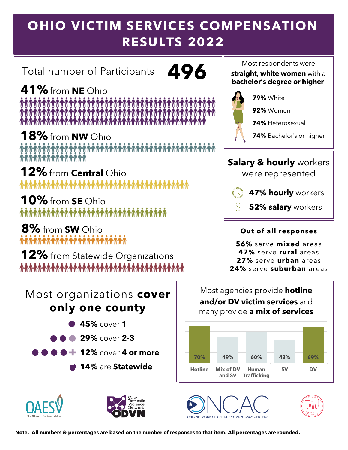# **OHIO VICTIM SERVICES COMPENSATION RESULTS 2022**

Total number of Participants **496**

**41%**from **NE** Ohio 

**18%**from **NW** Ohio

**12%**from **Central** Ohio **ለገጥጥጥጥጥጥጥጥጥጥጥጥጥጥጥ** 

**10%**from **SE** Ohio <u> \*\*\*\*\*\*\*\*\*\*\*\*\*\*\*\*\*\*\*\*\*\*\*\*\*\*\*\*\*\*\*\*</u>

**8%** from **SW** Ohio 

**12%** from Statewide Organizations  Most respondents were

**straight**, **white women** with a **bachelor's degree or higher**



**79%** White

**92%** Women

**74%** Heterosexual

**74%** Bachelor's or higher

### **Salary & hourly** workers

were represented



**52% salary** workers

#### **Out of all responses**

**56%** serve **mixed** areas **47%** serve **rural** areas **27%** serve **urban** areas **24%** serve **suburban** areas

Most organizations **cover only one county**

- **45%** cover **1**
- **29%** cover **2-3**
- **12%** cover **4 or more**
	- **14%** are **Statewide**

Most agencies provide **hotline and/or DV victim services** and many provide **a mix of services**











**Note. All numbers & percentages are based on the number of responses to that item. All percentages are rounded.**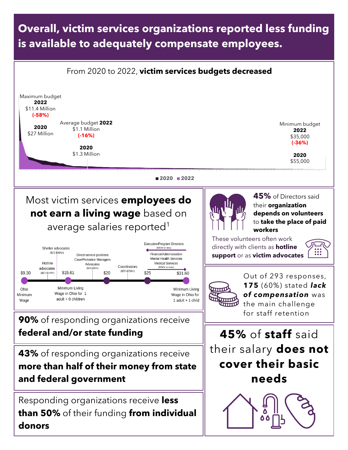### **Overall, victim services organizations reported less funding is available to adequately compensate employees.**